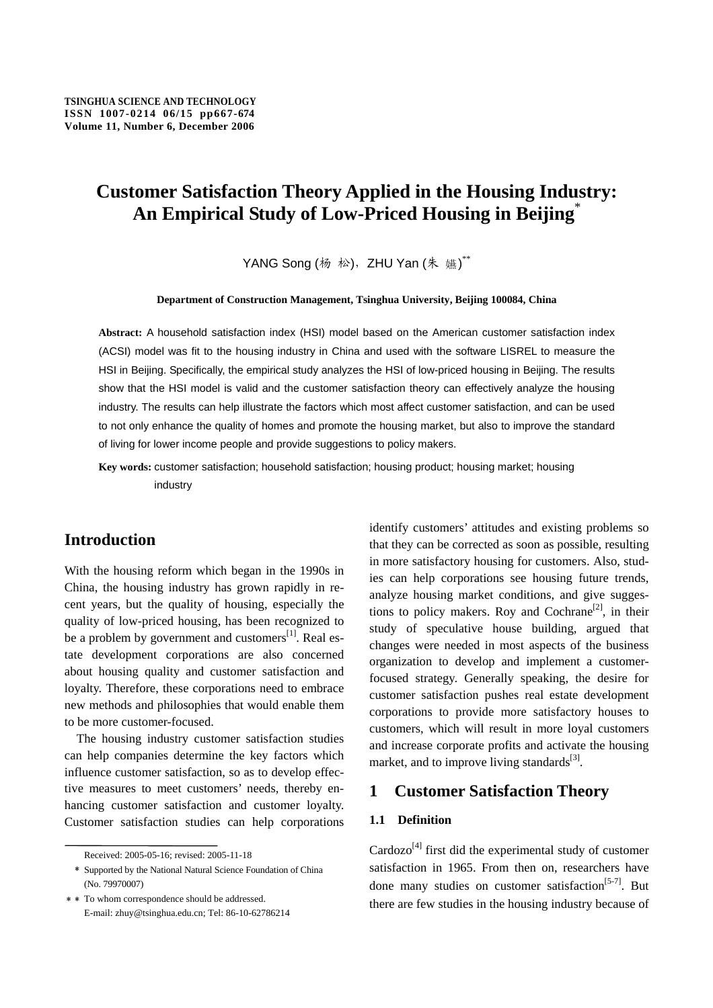## **Customer Satisfaction Theory Applied in the Housing Industry: An Empirical Study of Low-Priced Housing in Beijing**\*

YANG Song (杨 松), ZHU Yan (朱 嬿)\*\*

#### **Department of Construction Management, Tsinghua University, Beijing 100084, China**

**Abstract:** A household satisfaction index (HSI) model based on the American customer satisfaction index (ACSI) model was fit to the housing industry in China and used with the software LISREL to measure the HSI in Beijing. Specifically, the empirical study analyzes the HSI of low-priced housing in Beijing. The results show that the HSI model is valid and the customer satisfaction theory can effectively analyze the housing industry. The results can help illustrate the factors which most affect customer satisfaction, and can be used to not only enhance the quality of homes and promote the housing market, but also to improve the standard of living for lower income people and provide suggestions to policy makers.

**Key words:** customer satisfaction; household satisfaction; housing product; housing market; housing industry

## **Introduction**

With the housing reform which began in the 1990s in China, the housing industry has grown rapidly in recent years, but the quality of housing, especially the quality of low-priced housing, has been recognized to be a problem by government and customers $^{[1]}$ . Real estate development corporations are also concerned about housing quality and customer satisfaction and loyalty. Therefore, these corporations need to embrace new methods and philosophies that would enable them to be more customer-focused.

The housing industry customer satisfaction studies can help companies determine the key factors which influence customer satisfaction, so as to develop effective measures to meet customers' needs, thereby enhancing customer satisfaction and customer loyalty. Customer satisfaction studies can help corporations

identify customers' attitudes and existing problems so that they can be corrected as soon as possible, resulting in more satisfactory housing for customers. Also, studies can help corporations see housing future trends, analyze housing market conditions, and give suggestions to policy makers. Roy and Cochrane<sup>[2]</sup>, in their study of speculative house building, argued that changes were needed in most aspects of the business organization to develop and implement a customerfocused strategy. Generally speaking, the desire for customer satisfaction pushes real estate development corporations to provide more satisfactory houses to customers, which will result in more loyal customers and increase corporate profits and activate the housing market, and to improve living standards $^{[3]}$ .

### **1 Customer Satisfaction Theory**

#### **1.1 Definition**

 $Cardozo<sup>[4]</sup>$  first did the experimental study of customer satisfaction in 1965. From then on, researchers have done many studies on customer satisfaction<sup>[5-7]</sup>. But there are few studies in the housing industry because of

Received: 2005-05-16; revised: 2005-11-18

<sup>﹡</sup> Supported by the National Natural Science Foundation of China (No. 79970007)

<sup>﹡﹡</sup> To whom correspondence should be addressed. E-mail: zhuy@tsinghua.edu.cn; Tel: 86-10-62786214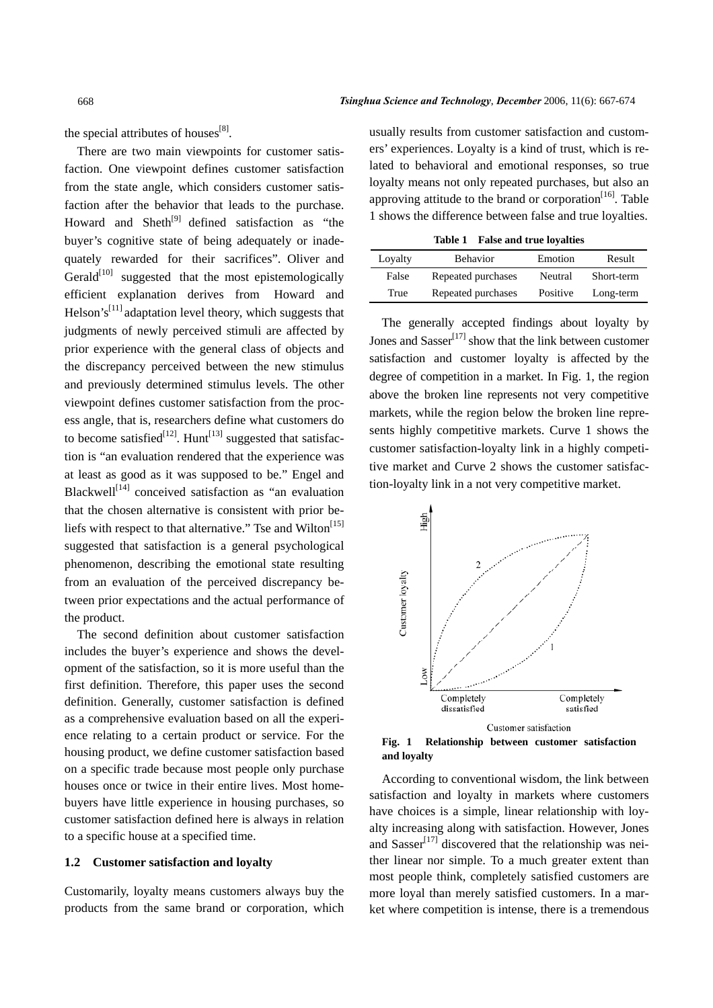the special attributes of houses<sup>[8]</sup>.

There are two main viewpoints for customer satisfaction. One viewpoint defines customer satisfaction from the state angle, which considers customer satisfaction after the behavior that leads to the purchase. Howard and  $\text{Sheth}^{[9]}$  defined satisfaction as "the buyer's cognitive state of being adequately or inadequately rewarded for their sacrifices". Oliver and Gerald $[10]$  suggested that the most epistemologically efficient explanation derives from Howard and Helson's<sup>[11]</sup> adaptation level theory, which suggests that judgments of newly perceived stimuli are affected by prior experience with the general class of objects and the discrepancy perceived between the new stimulus and previously determined stimulus levels. The other viewpoint defines customer satisfaction from the process angle, that is, researchers define what customers do to become satisfied<sup>[12]</sup>. Hunt<sup>[13]</sup> suggested that satisfaction is "an evaluation rendered that the experience was at least as good as it was supposed to be." Engel and Blackwell $[14]$  conceived satisfaction as "an evaluation that the chosen alternative is consistent with prior beliefs with respect to that alternative." Tse and Wilton<sup>[15]</sup> suggested that satisfaction is a general psychological phenomenon, describing the emotional state resulting from an evaluation of the perceived discrepancy between prior expectations and the actual performance of the product.

The second definition about customer satisfaction includes the buyer's experience and shows the development of the satisfaction, so it is more useful than the first definition. Therefore, this paper uses the second definition. Generally, customer satisfaction is defined as a comprehensive evaluation based on all the experience relating to a certain product or service. For the housing product, we define customer satisfaction based on a specific trade because most people only purchase houses once or twice in their entire lives. Most homebuyers have little experience in housing purchases, so customer satisfaction defined here is always in relation to a specific house at a specified time.

#### **1.2 Customer satisfaction and loyalty**

Customarily, loyalty means customers always buy the products from the same brand or corporation, which usually results from customer satisfaction and customers' experiences. Loyalty is a kind of trust, which is related to behavioral and emotional responses, so true loyalty means not only repeated purchases, but also an approving attitude to the brand or corporation<sup>[16]</sup>. Table 1 shows the difference between false and true loyalties.

**Table 1 False and true loyalties** 

| Loyalty | <b>Behavior</b>    | Emotion  | Result     |
|---------|--------------------|----------|------------|
| False   | Repeated purchases | Neutral  | Short-term |
| True    | Repeated purchases | Positive | Long-term  |

The generally accepted findings about loyalty by Jones and  $Sasser<sup>[17]</sup>$  show that the link between customer satisfaction and customer loyalty is affected by the degree of competition in a market. In Fig. 1, the region above the broken line represents not very competitive markets, while the region below the broken line represents highly competitive markets. Curve 1 shows the customer satisfaction-loyalty link in a highly competitive market and Curve 2 shows the customer satisfaction-loyalty link in a not very competitive market.



**Fig. 1 Relationship between customer satisfaction and loyalty** 

According to conventional wisdom, the link between satisfaction and loyalty in markets where customers have choices is a simple, linear relationship with loyalty increasing along with satisfaction. However, Jones and Sasser<sup>[17]</sup> discovered that the relationship was neither linear nor simple. To a much greater extent than most people think, completely satisfied customers are more loyal than merely satisfied customers. In a market where competition is intense, there is a tremendous